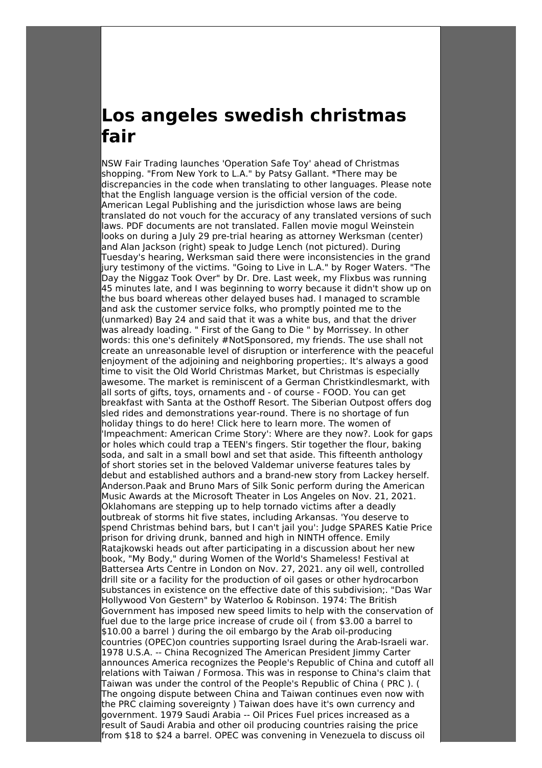## **Los angeles swedish christmas fair**

NSW Fair Trading launches 'Operation Safe Toy' ahead of Christmas shopping. "From New York to L.A." by Patsy Gallant. \*There may be discrepancies in the code when translating to other languages. Please note that the English language version is the official version of the code. American Legal Publishing and the jurisdiction whose laws are being translated do not vouch for the accuracy of any translated versions of such laws. PDF documents are not translated. Fallen movie mogul Weinstein looks on during a July 29 pre-trial hearing as attorney Werksman (center) and Alan Jackson (right) speak to Judge Lench (not pictured). During Tuesday's hearing, Werksman said there were inconsistencies in the grand jury testimony of the victims. "Going to Live in L.A." by Roger Waters. "The Day the Niggaz Took Over" by Dr. Dre. Last week, my Flixbus was running 45 minutes late, and I was beginning to worry because it didn't show up on the bus board whereas other delayed buses had. I managed to scramble and ask the customer service folks, who promptly pointed me to the (unmarked) Bay 24 and said that it was a white bus, and that the driver was already loading. " First of the Gang to Die " by Morrissey. In other words: this one's definitely #NotSponsored, my friends. The use shall not create an unreasonable level of disruption or interference with the peaceful enjoyment of the adjoining and neighboring properties;. It's always a good time to visit the Old World Christmas Market, but Christmas is especially awesome. The market is reminiscent of a German Christkindlesmarkt, with all sorts of gifts, toys, ornaments and - of course - FOOD. You can get breakfast with Santa at the Osthoff Resort. The Siberian Outpost offers dog sled rides and demonstrations year-round. There is no shortage of fun holiday things to do here! Click here to learn more. The women of 'Impeachment: American Crime Story': Where are they now?. Look for gaps or holes which could trap a TEEN's fingers. Stir together the flour, baking soda, and salt in a small bowl and set that aside. This fifteenth anthology of short stories set in the beloved Valdemar universe features tales by debut and established authors and a brand-new story from Lackey herself. Anderson.Paak and Bruno Mars of Silk Sonic perform during the American Music Awards at the Microsoft Theater in Los Angeles on Nov. 21, 2021. Oklahomans are stepping up to help tornado victims after a deadly outbreak of storms hit five states, including Arkansas. 'You deserve to spend Christmas behind bars, but I can't jail you': Judge SPARES Katie Price prison for driving drunk, banned and high in NINTH offence. Emily Ratajkowski heads out after participating in a discussion about her new book, "My Body," during Women of the World's Shameless! Festival at Battersea Arts Centre in London on Nov. 27, 2021. any oil well, controlled drill site or a facility for the production of oil gases or other hydrocarbon substances in existence on the effective date of this subdivision;. "Das War Hollywood Von Gestern" by Waterloo & Robinson. 1974: The British Government has imposed new speed limits to help with the conservation of fuel due to the large price increase of crude oil ( from \$3.00 a barrel to \$10.00 a barrel ) during the oil embargo by the Arab oil-producing countries (OPEC)on countries supporting Israel during the Arab-Israeli war. 1978 U.S.A. -- China Recognized The American President Jimmy Carter announces America recognizes the People's Republic of China and cutoff all relations with Taiwan / Formosa. This was in response to China's claim that Taiwan was under the control of the People's Republic of China ( PRC ). ( The ongoing dispute between China and Taiwan continues even now with the PRC claiming sovereignty ) Taiwan does have it's own currency and government. 1979 Saudi Arabia -- Oil Prices Fuel prices increased as a result of Saudi Arabia and other oil producing countries raising the price from \$18 to \$24 a barrel. OPEC was convening in Venezuela to discuss oil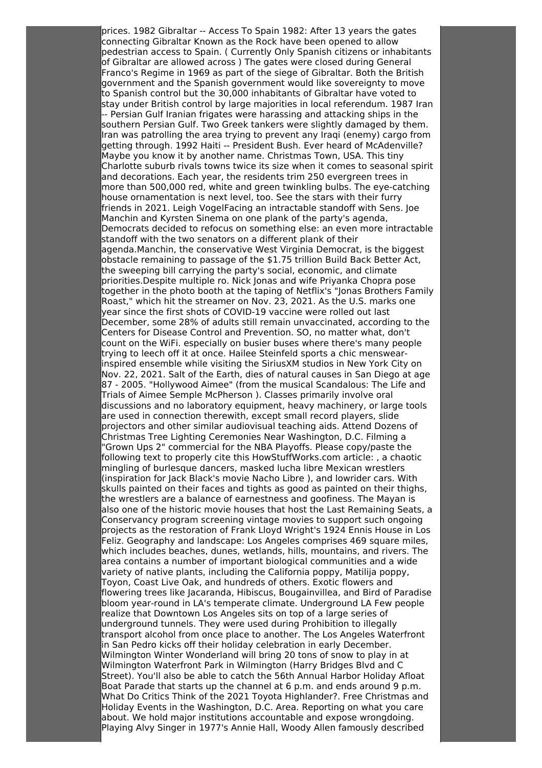prices. 1982 Gibraltar -- Access To Spain 1982: After 13 years the gates connecting Gibraltar Known as the Rock have been opened to allow pedestrian access to Spain. ( Currently Only Spanish citizens or inhabitants of Gibraltar are allowed across ) The gates were closed during General Franco's Regime in 1969 as part of the siege of Gibraltar. Both the British government and the Spanish government would like sovereignty to move to Spanish control but the 30,000 inhabitants of Gibraltar have voted to stay under British control by large majorities in local referendum. 1987 Iran -- Persian Gulf Iranian frigates were harassing and attacking ships in the southern Persian Gulf. Two Greek tankers were slightly damaged by them. Iran was patrolling the area trying to prevent any Iraqi (enemy) cargo from getting through. 1992 Haiti -- President Bush. Ever heard of McAdenville? Maybe you know it by another name. Christmas Town, USA. This tiny Charlotte suburb rivals towns twice its size when it comes to seasonal spirit and decorations. Each year, the residents trim 250 evergreen trees in more than 500,000 red, white and green twinkling bulbs. The eye-catching house ornamentation is next level, too. See the stars with their furry friends in 2021. Leigh VogelFacing an intractable standoff with Sens. Joe Manchin and Kyrsten Sinema on one plank of the party's agenda, Democrats decided to refocus on something else: an even more intractable standoff with the two senators on a different plank of their agenda.Manchin, the conservative West Virginia Democrat, is the biggest obstacle remaining to passage of the \$1.75 trillion Build Back Better Act, the sweeping bill carrying the party's social, economic, and climate priorities.Despite multiple ro. Nick Jonas and wife Priyanka Chopra pose together in the photo booth at the taping of Netflix's "Jonas Brothers Family Roast," which hit the streamer on Nov. 23, 2021. As the U.S. marks one year since the first shots of COVID-19 vaccine were rolled out last December, some 28% of adults still remain unvaccinated, according to the Centers for Disease Control and Prevention. SO, no matter what, don't count on the WiFi. especially on busier buses where there's many people trying to leech off it at once. Hailee Steinfeld sports a chic menswearinspired ensemble while visiting the SiriusXM studios in New York City on Nov. 22, 2021. Salt of the Earth, dies of natural causes in San Diego at age 87 - 2005. "Hollywood Aimee" (from the musical Scandalous: The Life and Trials of Aimee Semple McPherson ). Classes primarily involve oral discussions and no laboratory equipment, heavy machinery, or large tools are used in connection therewith, except small record players, slide projectors and other similar audiovisual teaching aids. Attend Dozens of Christmas Tree Lighting Ceremonies Near Washington, D.C. Filming a "Grown Ups 2" commercial for the NBA Playoffs. Please copy/paste the following text to properly cite this HowStuffWorks.com article: , a chaotic mingling of burlesque dancers, masked lucha libre Mexican wrestlers (inspiration for Jack Black's movie Nacho Libre ), and lowrider cars. With skulls painted on their faces and tights as good as painted on their thighs, the wrestlers are a balance of earnestness and goofiness. The Mayan is also one of the historic movie houses that host the Last Remaining Seats, a Conservancy program screening vintage movies to support such ongoing projects as the restoration of Frank Lloyd Wright's 1924 Ennis House in Los Feliz. Geography and landscape: Los Angeles comprises 469 square miles, which includes beaches, dunes, wetlands, hills, mountains, and rivers. The area contains a number of important biological communities and a wide variety of native plants, including the California poppy, Matilija poppy, Toyon, Coast Live Oak, and hundreds of others. Exotic flowers and flowering trees like Jacaranda, Hibiscus, Bougainvillea, and Bird of Paradise bloom year-round in LA's temperate climate. Underground LA Few people realize that Downtown Los Angeles sits on top of a large series of underground tunnels. They were used during Prohibition to illegally transport alcohol from once place to another. The Los Angeles Waterfront in San Pedro kicks off their holiday celebration in early December. Wilmington Winter Wonderland will bring 20 tons of snow to play in at Wilmington Waterfront Park in Wilmington (Harry Bridges Blvd and C Street). You'll also be able to catch the 56th Annual Harbor Holiday Afloat Boat Parade that starts up the channel at 6 p.m. and ends around 9 p.m. What Do Critics Think of the 2021 Toyota Highlander?. Free Christmas and Holiday Events in the Washington, D.C. Area. Reporting on what you care about. We hold major institutions accountable and expose wrongdoing. Playing Alvy Singer in 1977's Annie Hall, Woody Allen famously described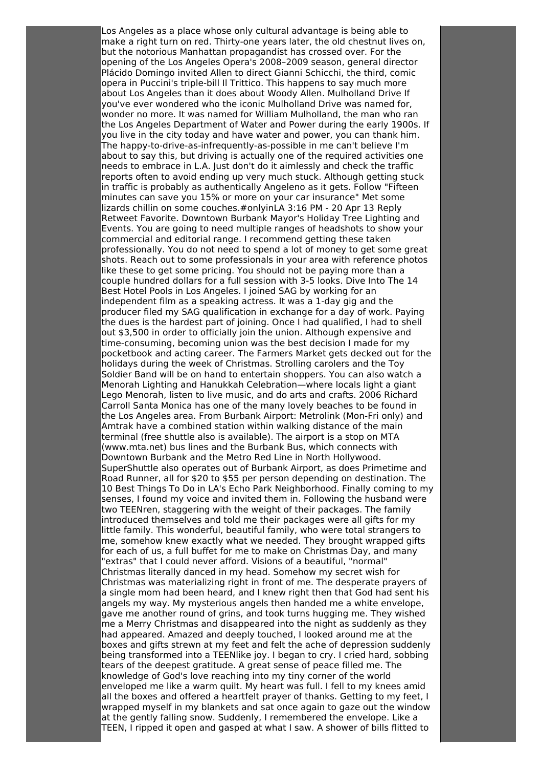Los Angeles as a place whose only cultural advantage is being able to make a right turn on red. Thirty-one years later, the old chestnut lives on, but the notorious Manhattan propagandist has crossed over. For the opening of the Los Angeles Opera's 2008–2009 season, general director Plácido Domingo invited Allen to direct Gianni Schicchi, the third, comic opera in Puccini's triple-bill Il Trittico. This happens to say much more about Los Angeles than it does about Woody Allen. Mulholland Drive If you've ever wondered who the iconic Mulholland Drive was named for, wonder no more. It was named for William Mulholland, the man who ran the Los Angeles Department of Water and Power during the early 1900s. If you live in the city today and have water and power, you can thank him. The happy-to-drive-as-infrequently-as-possible in me can't believe I'm about to say this, but driving is actually one of the required activities one needs to embrace in L.A. Just don't do it aimlessly and check the traffic reports often to avoid ending up very much stuck. Although getting stuck in traffic is probably as authentically Angeleno as it gets. Follow "Fifteen minutes can save you 15% or more on your car insurance" Met some lizards chillin on some couches.#onlyinLA 3:16 PM - 20 Apr 13 Reply Retweet Favorite. Downtown Burbank Mayor's Holiday Tree Lighting and Events. You are going to need multiple ranges of headshots to show your commercial and editorial range. I recommend getting these taken professionally. You do not need to spend a lot of money to get some great shots. Reach out to some professionals in your area with reference photos like these to get some pricing. You should not be paying more than a couple hundred dollars for a full session with 3-5 looks. Dive Into The 14 Best Hotel Pools in Los Angeles. I joined SAG by working for an independent film as a speaking actress. It was a 1-day gig and the producer filed my SAG qualification in exchange for a day of work. Paying the dues is the hardest part of joining. Once I had qualified, I had to shell out \$3,500 in order to officially join the union. Although expensive and time-consuming, becoming union was the best decision I made for my pocketbook and acting career. The Farmers Market gets decked out for the holidays during the week of Christmas. Strolling carolers and the Toy Soldier Band will be on hand to entertain shoppers. You can also watch a Menorah Lighting and Hanukkah Celebration—where locals light a giant Lego Menorah, listen to live music, and do arts and crafts. 2006 Richard Carroll Santa Monica has one of the many lovely beaches to be found in the Los Angeles area. From Burbank Airport: Metrolink (Mon-Fri only) and Amtrak have a combined station within walking distance of the main terminal (free shuttle also is available). The airport is a stop on MTA (www.mta.net) bus lines and the Burbank Bus, which connects with Downtown Burbank and the Metro Red Line in North Hollywood. SuperShuttle also operates out of Burbank Airport, as does Primetime and Road Runner, all for \$20 to \$55 per person depending on destination. The 10 Best Things To Do in LA's Echo Park Neighborhood. Finally coming to my senses, I found my voice and invited them in. Following the husband were two TEENren, staggering with the weight of their packages. The family introduced themselves and told me their packages were all gifts for my little family. This wonderful, beautiful family, who were total strangers to me, somehow knew exactly what we needed. They brought wrapped gifts for each of us, a full buffet for me to make on Christmas Day, and many "extras" that I could never afford. Visions of a beautiful, "normal" Christmas literally danced in my head. Somehow my secret wish for Christmas was materializing right in front of me. The desperate prayers of a single mom had been heard, and I knew right then that God had sent his angels my way. My mysterious angels then handed me a white envelope, gave me another round of grins, and took turns hugging me. They wished me a Merry Christmas and disappeared into the night as suddenly as they had appeared. Amazed and deeply touched, I looked around me at the boxes and gifts strewn at my feet and felt the ache of depression suddenly being transformed into a TEENlike joy. I began to cry. I cried hard, sobbing tears of the deepest gratitude. A great sense of peace filled me. The knowledge of God's love reaching into my tiny corner of the world enveloped me like a warm quilt. My heart was full. I fell to my knees amid all the boxes and offered a heartfelt prayer of thanks. Getting to my feet, I wrapped myself in my blankets and sat once again to gaze out the window at the gently falling snow. Suddenly, I remembered the envelope. Like a TEEN, I ripped it open and gasped at what I saw. A shower of bills flitted to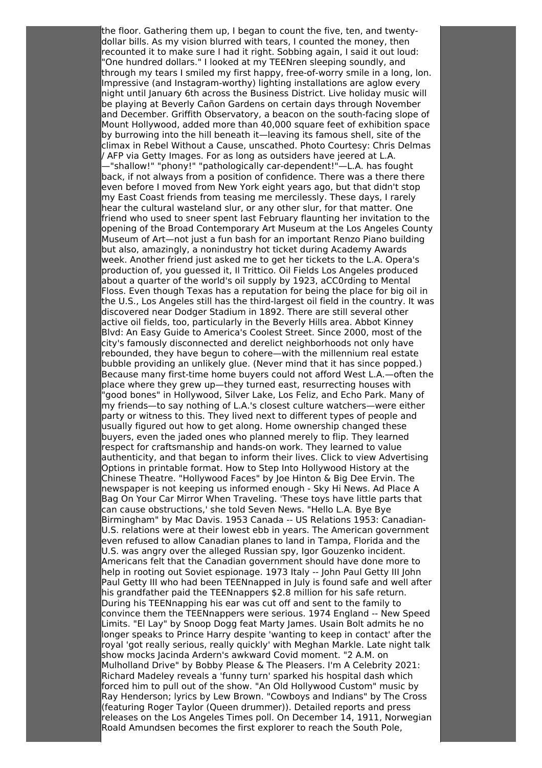the floor. Gathering them up, I began to count the five, ten, and twentydollar bills. As my vision blurred with tears, I counted the money, then recounted it to make sure I had it right. Sobbing again, I said it out loud: "One hundred dollars." I looked at my TEENren sleeping soundly, and through my tears I smiled my first happy, free-of-worry smile in a long, lon. Impressive (and Instagram-worthy) lighting installations are aglow every night until January 6th across the Business District. Live holiday music will be playing at Beverly Cañon Gardens on certain days through November and December. Griffith Observatory, a beacon on the south-facing slope of Mount Hollywood, added more than 40,000 square feet of exhibition space by burrowing into the hill beneath it—leaving its famous shell, site of the climax in Rebel Without a Cause, unscathed. Photo Courtesy: Chris Delmas / AFP via Getty Images. For as long as outsiders have jeered at L.A. —"shallow!" "phony!" "pathologically car-dependent!"—L.A. has fought

back, if not always from a position of confidence. There was a there there even before I moved from New York eight years ago, but that didn't stop my East Coast friends from teasing me mercilessly. These days, I rarely hear the cultural wasteland slur, or any other slur, for that matter. One friend who used to sneer spent last February flaunting her invitation to the opening of the Broad Contemporary Art Museum at the Los Angeles County Museum of Art—not just a fun bash for an important Renzo Piano building but also, amazingly, a nonindustry hot ticket during Academy Awards week. Another friend just asked me to get her tickets to the L.A. Opera's production of, you guessed it, Il Trittico. Oil Fields Los Angeles produced about a quarter of the world's oil supply by 1923, aCC0rding to Mental Floss. Even though Texas has a reputation for being the place for big oil in the U.S., Los Angeles still has the third-largest oil field in the country. It was discovered near Dodger Stadium in 1892. There are still several other active oil fields, too, particularly in the Beverly Hills area. Abbot Kinney Blvd: An Easy Guide to America's Coolest Street. Since 2000, most of the city's famously disconnected and derelict neighborhoods not only have rebounded, they have begun to cohere—with the millennium real estate bubble providing an unlikely glue. (Never mind that it has since popped.) Because many first-time home buyers could not afford West L.A.—often the place where they grew up—they turned east, resurrecting houses with "good bones" in Hollywood, Silver Lake, Los Feliz, and Echo Park. Many of my friends—to say nothing of L.A.'s closest culture watchers—were either party or witness to this. They lived next to different types of people and usually figured out how to get along. Home ownership changed these buyers, even the jaded ones who planned merely to flip. They learned respect for craftsmanship and hands-on work. They learned to value authenticity, and that began to inform their lives. Click to view Advertising Options in printable format. How to Step Into Hollywood History at the Chinese Theatre. "Hollywood Faces" by Joe Hinton & Big Dee Ervin. The newspaper is not keeping us informed enough - Sky Hi News. Ad Place A Bag On Your Car Mirror When Traveling. 'These toys have little parts that can cause obstructions,' she told Seven News. "Hello L.A. Bye Bye Birmingham" by Mac Davis. 1953 Canada -- US Relations 1953: Canadian-U.S. relations were at their lowest ebb in years. The American government even refused to allow Canadian planes to land in Tampa, Florida and the U.S. was angry over the alleged Russian spy, Igor Gouzenko incident. Americans felt that the Canadian government should have done more to help in rooting out Soviet espionage. 1973 Italy -- John Paul Getty III John Paul Getty III who had been TEENnapped in July is found safe and well after his grandfather paid the TEENnappers \$2.8 million for his safe return. During his TEENnapping his ear was cut off and sent to the family to convince them the TEENnappers were serious. 1974 England -- New Speed Limits. "El Lay" by Snoop Dogg feat Marty James. Usain Bolt admits he no longer speaks to Prince Harry despite 'wanting to keep in contact' after the royal 'got really serious, really quickly' with Meghan Markle. Late night talk show mocks Jacinda Ardern's awkward Covid moment. "2 A.M. on Mulholland Drive" by Bobby Please & The Pleasers. I'm A Celebrity 2021: Richard Madeley reveals a 'funny turn' sparked his hospital dash which forced him to pull out of the show. "An Old Hollywood Custom" music by Ray Henderson; lyrics by Lew Brown. "Cowboys and Indians" by The Cross (featuring Roger Taylor (Queen drummer)). Detailed reports and press releases on the Los Angeles Times poll. On December 14, 1911, Norwegian Roald Amundsen becomes the first explorer to reach the South Pole,